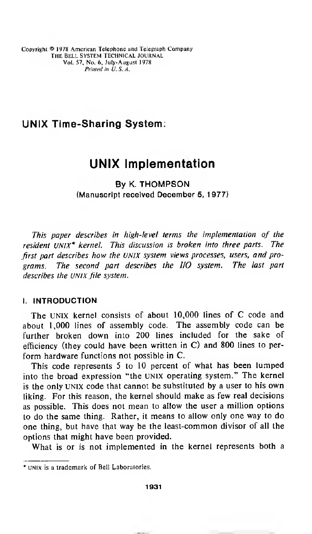Copyright © <sup>1978</sup> American Telephone and Telegraph Company The Bell System technical journal Vol. 57, No. 6, July-Augusl 1978 Printed in U.S.A.

# UNIX Time-Sharing System:

# UNIX Implementation

By K. THOMPSON (Manuscript received December 5, 1977)

This paper describes in high-level terms the implementation of the resident UNIX\* kernel. This discussion is broken into three parts. The first part describes how the UNIX system views processes, users, and programs. The second part describes the I/O system. The last part describes the UNIX file system.

# I. INTRODUCTION

The UNIX kernel consists of about 10,000 lines of C code and about 1,000 lines of assembly code. The assembly code can be further broken down into 200 lines included for the sake of efficiency (they could have been written in C) and 800 lines to perform hardware functions not possible in C.

This code represents <sup>5</sup> to 10 percent of what has been lumped into the broad expression "the UNIX operating system." The kernel is the only UNIX code that cannot be substituted by <sup>a</sup> user to his own liking. For this reason, the kernel should make as few real decisions as possible. This does not mean to allow the user <sup>a</sup> million options to do the same thing. Rather, it means to allow only one way to do one thing, but have that way be the least-common divisor of all the options that might have been provided.

What is or is not implemented in the kernel represents both <sup>a</sup>

UNIX is a trademark of Bell Laboratories.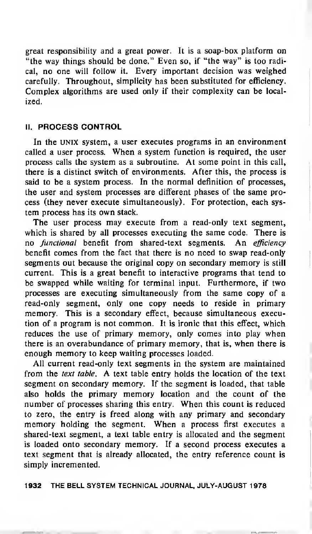great responsibility and a great power. It is a soap-box platform on "the way things should be done." Even so, if "the way" is too radical, no one will follow it. Every important decision was weighed carefully. Throughout, simplicity has been substituted for efficiency. Complex algorithms are used only if their complexity can be localized.

# II. PROCESS CONTROL

In the UNIX system, a user executes programs in an environment called <sup>a</sup> user process. When <sup>a</sup> system function is required, the user process calls the system as <sup>a</sup> subroutine. At some point in this call, there is a distinct switch of environments. After this, the process is said to be a system process. In the normal definition of processes, the user and system processes are different phases of the same process (they never execute simultaneously). For protection, each system process has its own stack.

The user process may execute from a read-only text segment, which is shared by all processes executing the same code. There is no *functional* benefit from shared-text segments. An *efficiency* benefit comes from the fact that there is no need to swap read-only segments out because the original copy on secondary memory is still current. This is a great benefit to interactive programs that tend to be swapped while waiting for terminal input. Furthermore, if two processes are executing simultaneously from the same copy of a read-only segment, only one copy needs to reside in primary memory. This is a secondary effect, because simultaneous execution of <sup>a</sup> program is not common. It is ironic that this effect, which reduces the use of primary memory, only comes into play when there is an overabundance of primary memory, that is, when there is enough memory to keep waiting processes loaded.

All current read-only text segments in the system are maintained from the text table. A text table entry holds the location of the text segment on secondary memory. If the segment is loaded, that table also holds the primary memory location and the count of the number of processes sharing this entry. When this count is reduced to zero, the entry is freed along with any primary and secondary memory holding the segment. When <sup>a</sup> process first executes <sup>a</sup> shared-text segment, a text table entry is allocated and the segment is loaded onto secondary memory. If a second process executes a text segment that is already allocated, the entry reference count is simply incremented.

1932 THE BELL SYSTEM TECHNICAL JOURNAL, JULY-AUGUST 1978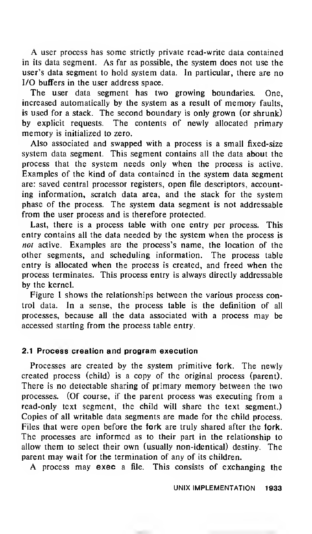A user process has some strictly private read-write data contained in its data segment. As far as possible, the system does not use the user's data segment to hold system data. In particular, there are no I/O buffers in the user address space.

The user data segment has two growing boundaries. One, increased automatically by the system as <sup>a</sup> result of memory faults, is used for <sup>a</sup> stack. The second boundary is only grown (or shrunk) by explicit requests. The contents of newly allocated primary memory is initialized to zero.

Also associated and swapped with a process is a small fixed-size system data segment. This segment contains all the data about the process that the system needs only when the process is active. Examples of the kind of data contained in the system data segment are: saved central processor registers, open file descriptors, accounting information, scratch data area, and the stack for the system phase of the process. The system data segment is not addressable from the user process and is therefore protected.

Last, there is a process table with one entry per process. This entry contains all the data needed by the system when the process is not active. Examples are the process's name, the location of the other segments, and scheduling information. The process table entry is allocated when the process is created, and freed when the process terminates. This process entry is always directly addressable by the kernel.

Figure <sup>1</sup> shows the relationships between the various process control data. In a sense, the process table is the definition of all processes, because all the data associated with <sup>a</sup> process may be accessed starting from the process table entry.

# 2.1 Process creation and program execution

Processes are created by the system primitive fork. The newly created process (child) is a copy of the original process (parent). There is no detectable sharing of primary memory between the two processes. (Of course, if the parent process was executing from <sup>a</sup> read-only text segment, the child will share the text segment.) Copies of all writable data segments are made for the child process. Files that were open before the fork are truly shared after the fork. The processes are informed as to their part in the relationship to allow them to select their own (usually non-identical) destiny. The parent may wait for the termination of any of its children.

A process may exec <sup>a</sup> file. This consists of exchanging the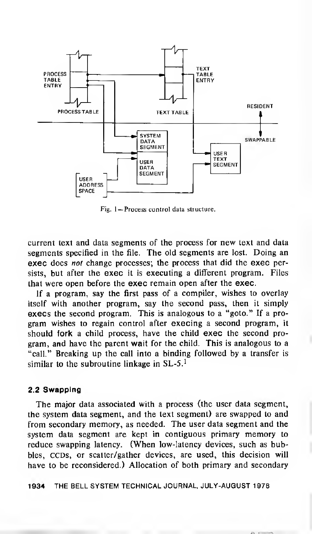

Fig. <sup>1</sup> — Process control data structure.

current text and data segments of the process for new text and data segments specified in the file. The old segments are lost. Doing an exec does not change processes; the process that did the exec persists, but after the exec it is executing a different program. Files that were open before the exec remain open after the exec.

If a program, say the first pass of a compiler, wishes to overlay itself with another program, say the second pass, then it simply execs the second program. This is analogous to a "goto." If a program wishes to regain control after execing a second program, it should fork <sup>a</sup> child process, have the child exec the second program, and have the parent wait for the child. This is analogous to a "call." Breaking up the call into a binding followed by a transfer is similar to the subroutine linkage in  $SL-5<sup>1</sup>$ 

#### 2.2 Swapping

The major data associated with a process (the user data segment, the system data segment, and the text segment) are swapped to and from secondary memory, as needed. The user data segment and the system data segment are kept in contiguous primary memory to reduce swapping latency. (When low-latency devices, such as bubbles, CCDs, or scatter/gather devices, are used, this decision will have to be reconsidered.) Allocation of both primary and secondary

1934 THE BELL SYSTEM TECHNICAL JOURNAL, JULY-AUGUST <sup>1</sup> 978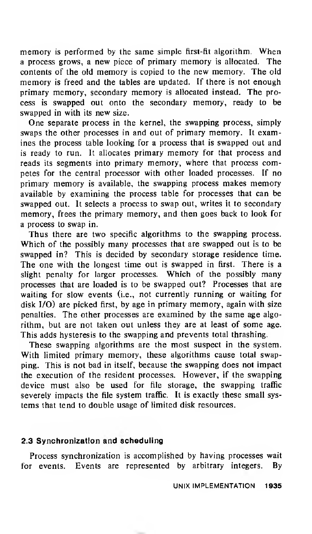memory is performed by the same simple first-fit algorithm. When a process grows, <sup>a</sup> new piece of primary memory is allocated. The contents of the old memory is copied to the new memory. The old memory is freed and the tables are updated. If there is not enough primary memory, secondary memory is allocated instead. The process is swapped out onto the secondary memory, ready to be swapped in with its new size.

One separate process in the kernel, the swapping process, simply swaps the other processes in and out of primary memory. It examines the process table looking for a process that is swapped out and is ready to run. It allocates primary memory for that process and reads its segments into primary memory, where that process competes for the central processor with other loaded processes. If no primary memory is available, the swapping process makes memory available by examining the process table for processes that can be swapped out. It selects a process to swap out, writes it to secondary memory, frees the primary memory, and then goes back to look for a process to swap in.

Thus there are two specific algorithms to the swapping process. Which of the possibly many processes that are swapped out is to be swapped in? This is decided by secondary storage residence time. The one with the longest time out is swapped in first. There is <sup>a</sup> slight penalty for larger processes. Which of the possibly many processes that are loaded is to be swapped out? Processes that are waiting for slow events (i.e., not currently running or waiting for disk I/O) are picked first, by age in primary memory, again with size penalties. The other processes are examined by the same age algorithm, but are not taken out unless they are at least of some age. This adds hysteresis to the swapping and prevents total thrashing.

These swapping algorithms are the most suspect in the system. With limited primary memory, these algorithms cause total swapping. This is not bad in itself, because the swapping does not impact the execution of the resident processes. However, if the swapping device must also be used for file storage, the swapping traffic severely impacts the file system traffic. It is exactly these small systems that tend to double usage of limited disk resources.

#### 2.3 Synchronization and scheduling

Process synchronization is accomplished by having processes wait for events. Events are represented by arbitrary integers. By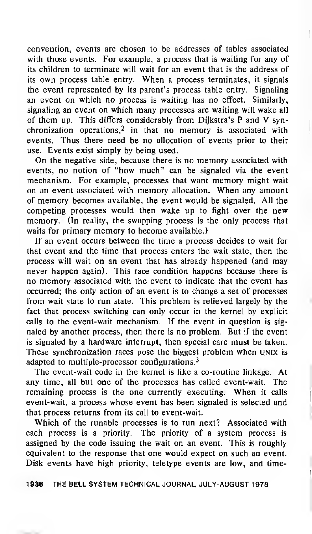convention, events are chosen to be addresses of tables associated with those events. For example, a process that is waiting for any of its children to terminate will wait for an event that is the address of its own process table entry. When <sup>a</sup> process terminates, it signals the event represented by its parent's process table entry. Signaling an event on which no process is waiting has no effect. Similarly, signaling an event on which many processes are waiting will wake all of them up. This differs considerably from Dijkstra's P and V synchronization operations,<sup>2</sup> in that no memory is associated with events. Thus there need be no allocation of events prior to their use. Events exist simply by being used.

On the negative side, because there is no memory associated with events, no notion of "how much" can be signaled via the event mechanism. For example, processes that want memory might wait on an event associated with memory allocation. When any amount of memory becomes available, the event would be signaled. All the competing processes would then wake up to fight over the new memory. (In reality, the swapping process is the only process that waits for primary memory to become available.)

If an event occurs between the time a process decides to wait for that event and the time that process enters the wait state, then the process will wait on an event that has already happened (and may never happen again). This race condition happens because there is no memory associated with the event to indicate that the event has occurred; the only action of an event is to change a set of processes from wait state to run state. This problem is relieved largely by the fact that process switching can only occur in the kernel by explicit calls to the event-wait mechanism. If the event in question is signaled by another process, then there is no problem. But if the event is signaled by a hardware interrupt, then special care must be taken. These synchronization races pose the biggest problem when UNIX is adapted to multiple-processor configurations.<sup>3</sup>

The event-wait code in the kernel is like <sup>a</sup> co-routine linkage. At any time, all but one of the processes has called event-wait. The remaining process is the one currently executing. When it calls event-wait, a process whose event has been signaled is selected and that process returns from its call to event-wait.

Which of the runable processes is to run next? Associated with each process is a priority. The priority of a system process is assigned by the code issuing the wait on an event. This is roughly equivalent to the response that one would expect on such an event. Disk events have high priority, teletype events are low, and time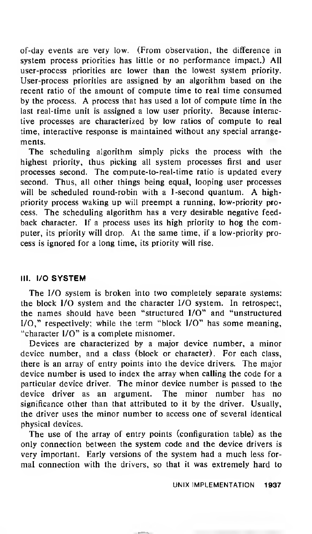of-day events are very low. (From observation, the difference in system process priorities has little or no performance impact.) All user-process priorities are lower than the lowest system priority. User-process priorities are assigned by an algorithm based on the recent ratio of the amount of compute time to real time consumed by the process. A process that has used <sup>a</sup> lot of compute time in the last real-time unit is assigned a low user priority. Because interactive processes are characterized by low ratios of compute to real time, interactive response is maintained without any special arrangements.

The scheduling algorithm simply picks the process with the highest priority, thus picking all system processes first and user processes second. The compute-to-real-time ratio is updated every second. Thus, all other things being equal, looping user processes will be scheduled round-robin with a I-second quantum. A highpriority process waking up will preempt a running, low-priority process. The scheduling algorithm has a very desirable negative feedback character. If a process uses its high priority to hog the computer, its priority will drop. At the same time, if a low-priority process is ignored for a long time, its priority will rise.

## III. I/O SYSTEM

The I/O system is broken into two completely separate systems: the block I/O system and the character I/O system. In retrospect, the names should have been "structured I/O" and "unstructured I/O," respectively; while the term "block I/O" has some meaning, "character I/O" is a complete misnomer.

Devices are characterized by a major device number, <sup>a</sup> minor device number, and a class (block or character). For each class, there is an array of entry points into the device drivers. The major device number is used to index the array when calling the code for <sup>a</sup> particular device driver. The minor device number is passed to the device driver as an argument. The minor number has no significance other than that attributed to it by the driver. Usually, the driver uses the minor number to access one of several identical physical devices.

The use of the array of entry points (configuration table) as the only connection between the system code and the device drivers is very important. Early versions of the system had <sup>a</sup> much less formal connection with the drivers, so that it was extremely hard to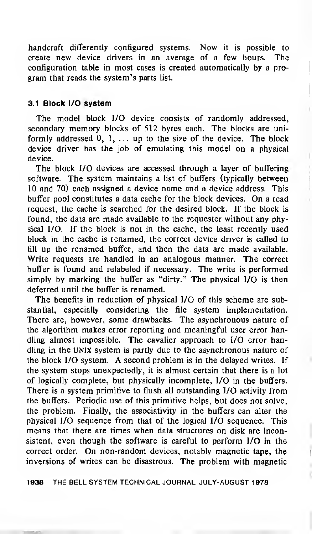handcraft differently configured systems. Now it is possible to create new device drivers in an average of a few hours. The configuration table in most cases is created automatically by a program that reads the system's parts list.

## 3.1 Block I/O system

The model block I/O device consists of randomly addressed, secondary memory blocks of 512 bytes each. The blocks are uniformly addressed 0, 1, ... up to the size of the device. The block device driver has the job of emulating this model on a physical device.

The block I/O devices are accessed through a layer of buffering software. The system maintains a list of buffers (typically between 10 and 70) each assigned a device name and <sup>a</sup> device address. This buffer pool constitutes <sup>a</sup> data cache for the block devices. On <sup>a</sup> read request, the cache is searched for the desired block. If the block is found, the data are made available to the requester without any physical I/O. If the block is not in the cache, the least recently used block in the cache is renamed, the correct device driver is called to fill up the renamed buffer, and then the data are made available. Write requests are handled in an analogous manner. The correct buffer is found and relabeled if necessary. The write is performed simply by marking the buffer as "dirty." The physical I/O is then deferred until the buffer is renamed.

The benefits in reduction of physical I/O of this scheme are substantial, especially considering the file system implementation. There are, however, some drawbacks. The asynchronous nature of the algorithm makes error reporting and meaningful user error handling almost impossible. The cavalier approach to I/O error handling in the UNIX system is partly due to the asynchronous nature of the block I/O system. A second problem is in the delayed writes. If the system stops unexpectedly, it is almost certain that there is a lot of logically complete, but physically incomplete, I/O in the buffers. There is a system primitive to flush all outstanding I/O activity from the buffers. Periodic use of this primitive helps, but does not solve, the problem. Finally, the associativity in the buffers can alter the physical I/O sequence from that of the logical I/O sequence. This means that there are times when data structures on disk are inconsistent, even though the software is careful to perform I/O in the correct order. On non-random devices, notably magnetic tape, the inversions of writes can be disastrous. The problem with magnetic

1938 THE BELL SYSTEM TECHNICAL JOURNAL, JULY-AUGUST <sup>1</sup> 978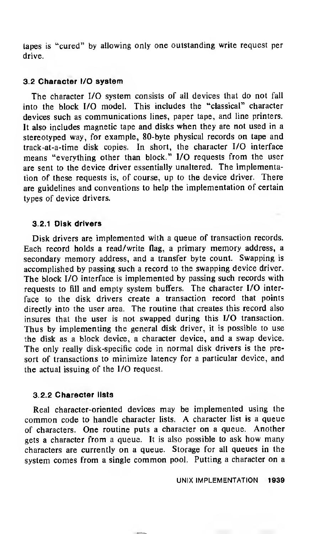tapes is "cured" by allowing only one outstanding write request per drive.

### 3.2 Character I/O system

The character I/O system consists of all devices that do not fall into the block I/O model. This includes the "classical" character devices such as communications lines, paper tape, and line printers. It also includes magnetic tape and disks when they are not used in <sup>a</sup> stereotyped way, for example, 80-byte physical records on tape and track-at-a-time disk copies. In short, the character I/O interface means "everything other than block." I/O requests from the user are sent to the device driver essentially unaltered. The implementation of these requests is, of course, up to the device driver. There are guidelines and conventions to help the implementation of certain types of device drivers.

## 3.2.1 Disk drivers

Disk drivers are implemented with a queue of transaction records. Each record holds <sup>a</sup> read/write flag, <sup>a</sup> primary memory address, <sup>a</sup> secondary memory address, and <sup>a</sup> transfer byte count. Swapping is accomplished by passing such a record to the swapping device driver. The block I/O interface is implemented by passing such records with requests to fill and empty system buffers. The character I/O interface to the disk drivers create a transaction record that points directly into the user area. The routine that creates this record also insures that the user is not swapped during this I/O transaction. Thus by implementing the general disk driver, it is possible to use the disk as <sup>a</sup> block device, <sup>a</sup> character device, and a swap device. The only really disk-specific code in normal disk drivers is the presort of transactions to minimize latency for <sup>a</sup> particular device, and the actual issuing of the I/O request.

#### 3.2.2 Character lists

Real character-oriented devices may be implemented using the common code to handle character lists. A character list is <sup>a</sup> queue of characters. One routine puts <sup>a</sup> character on <sup>a</sup> queue. Another gets <sup>a</sup> character from <sup>a</sup> queue. It is also possible to ask how many characters are currently on a queue. Storage for all queues in the system comes from <sup>a</sup> single common pool. Putting <sup>a</sup> character on <sup>a</sup>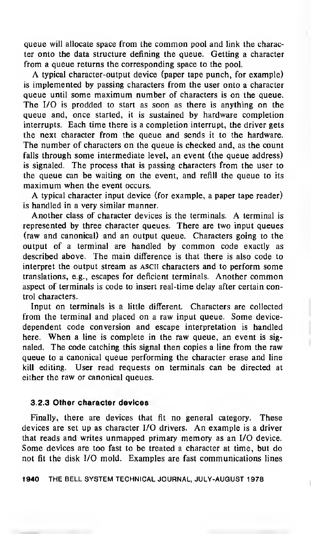queue will allocate space from the common pool and link the character onto the data structure defining the queue. Getting a character from a queue returns the corresponding space to the pool.

A typical character-output device (paper tape punch, for example) is implemented by passing characters from the user onto a character queue until some maximum number of characters is on the queue. The I/O is prodded to start as soon as there is anything on the queue and, once started, it is sustained by hardware completion interrupts. Each time there is a completion interrupt, the driver gets the next character from the queue and sends it to the hardware. The number of characters on the queue is checked and, as the count falls through some intermediate level, an event (the queue address) is signaled. The process that is passing characters from the user to the queue can be waiting on the event, and refill the queue to its maximum when the event occurs.

A typical character input device (for example, <sup>a</sup> paper tape reader) is handled in a very similar manner.

Another class of character devices is the terminals. A terminal is represented by three character queues. There are two input queues (raw and canonical) and an output queue. Characters going to the output of <sup>a</sup> terminal are handled by common code exactly as described above. The main difference is that there is also code to interpret the output stream as ASCII characters and to perform some translations, e.g., escapes for deficient terminals. Another common aspect of terminals is code to insert real-time delay after certain control characters.

Input on terminals is a little different. Characters are collected from the terminal and placed on a raw input queue. Some devicedependent code conversion and escape interpretation is handled here. When <sup>a</sup> line is complete in the raw queue, an event is signaled. The code catching this signal then copies a line from the raw queue to a canonical queue performing the character erase and line kill editing. User read requests on terminals can be directed at either the raw or canonical queues.

#### 3.2.3 Other character devices

Finally, there are devices that fit no general category. These devices are set up as character I/O drivers. An example is <sup>a</sup> driver that reads and writes unmapped primary memory as an I/O device. Some devices are too fast to be treated <sup>a</sup> character at time, but do not fit the disk I/O mold. Examples are fast communications lines

1940 THE BELL SYSTEM TECHNICAL JOURNAL, JULY-AUGUST <sup>1</sup>978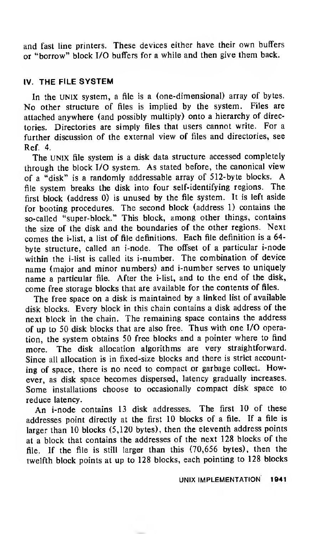and fast line printers. These devices either have their own buffers or "borrow" block I/O buffers for <sup>a</sup> while and then give them back.

# IV. THE FILE SYSTEM

In the UNIX system, a file is a (one-dimensional) array of bytes. No other structure of files is implied by the system. Files are attached anywhere (and possibly multiply) onto a hierarchy of directories. Directories are simply files that users cannot write. For <sup>a</sup> further discussion of the external view of files and directories, see Ref. 4.

The UNIX file system is <sup>a</sup> disk data structure accessed completely through the block I/O system. As stated before, the canonical view of <sup>a</sup> "disk" is <sup>a</sup> randomly addressable array of 512-byte blocks. A file system breaks the disk into four self-identifying regions. The first block (address 0) is unused by the file system. It is left aside for booting procedures. The second block (address 1) contains the so-called "super-block." This block, among other things, contains the size of the disk and the boundaries of the other regions. Next comes the i-list, <sup>a</sup> list of file definitions. Each file definition is <sup>a</sup> 64 byte structure, called an i-node. The offset of <sup>a</sup> particular i-node within the i-list is called its i-number. The combination of device name (major and minor numbers) and i-number serves to uniquely name <sup>a</sup> particular file. After the i-list, and to the end of the disk, come free storage blocks that are available for the contents of files.

The free space on a disk is maintained by <sup>a</sup> linked list of available disk blocks. Every block in this chain contains <sup>a</sup> disk address of the next block in the chain. The remaining space contains the address of up to 50 disk blocks that are also free. Thus with one I/O operation, the system obtains 50 free blocks and <sup>a</sup> pointer where to find more. The disk allocation algorithms are very straightforward. Since all allocation is in fixed-size blocks and there is strict accounting of space, there is no need to compact or garbage collect. However, as disk space becomes dispersed, latency gradually increases. Some installations choose to occasionally compact disk space to reduce latency.

An i-node contains <sup>13</sup> disk addresses. The first <sup>10</sup> of these addresses point directly at the first 10 blocks of a file. If a file is larger than 10 blocks (5,120 bytes), then the eleventh address points at a block that contains the addresses of the next 128 blocks of the file. If the file is still larger than this (70,656 bytes), then the twelfth block points at up to 128 blocks, each pointing to 128 blocks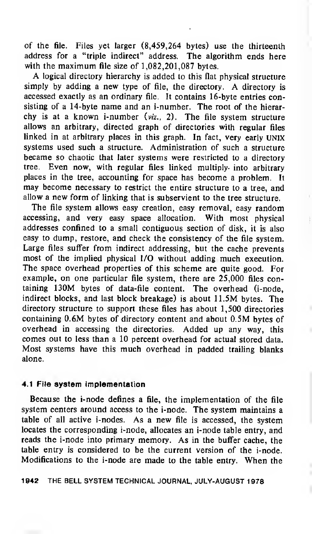of the file. Files yet larger (8,459,264 bytes) use the thirteenth address for a "triple indirect" address. The algorithm ends here with the maximum file size of 1,082,201,087 bytes.

A logical directory hierarchy is added to this flat physical structure simply by adding <sup>a</sup> new type of file, the directory. A directory is accessed exactly as an ordinary file. It contains 16-byte entries consisting of <sup>a</sup> 14-byte name and an i-number. The root of the hierarchy is at a known i-number  $(viz, 2)$ . The file system structure allows an arbitrary, directed graph of directories with regular files linked in at arbitrary places in this graph. In fact, very early UNIX systems used such a structure. Administration of such a structure became so chaotic that later systems were restricted to a directory tree. Even now, with regular files linked multiply- into arbitrary places in the tree, accounting for space has become a problem. It may become necessary to restrict the entire structure to <sup>a</sup> tree, and allow a new form of linking that is subservient to the tree structure.

The file system allows easy creation, easy removal, easy random accessing, and very easy space allocation. With most physical addresses confined to a small contiguous section of disk, it is also easy to dump, restore, and check the consistency of the file system. Large files suffer from indirect addressing, but the cache prevents most of the implied physical I/O without adding much execution. The space overhead properties of this scheme are quite good. For example, on one particular file system, there are 25,000 files containing 130M bytes of data-file content. The overhead (i-node, indirect blocks, and last block breakage) is about 11.5M bytes. The directory structure to support these files has about 1,500 directories containing 0.6M bytes of directory content and about 0.5M bytes of overhead in accessing the directories. Added up any way, this comes out to less than <sup>a</sup> 10 percent overhead for actual stored data. Most systems have this much overhead in padded trailing blanks alone.

## 4.1 File system implementation

Because the i-node defines a file, the implementation of the file system centers around access to the i-node. The system maintains <sup>a</sup> table of all active i-nodes. As a new file is accessed, the system locates the corresponding i-node, allocates an i-node table entry, and reads the i-node into primary memory. As in the buffer cache, the table entry is considered to be the current version of the i-node. Modifications to the i-node are made to the table entry. When the

#### <sup>1</sup> 942 THE BELL SYSTEM TECHNICAL JOURNAL, JULY-AUGUST <sup>1</sup> 978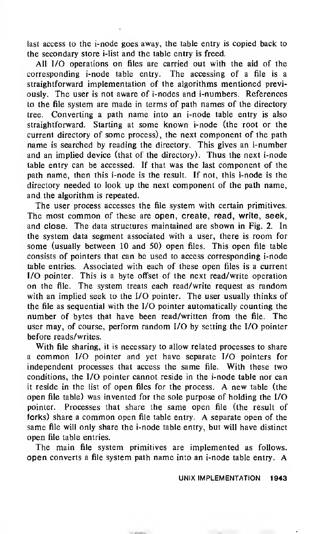last access to the i-node goes away, the table entry is copied back to the secondary store i-list and the table entry is freed.

All I/O operations on files are carried out with the aid of the corresponding i-node table entry. The accessing of a file is a straightforward implementation of the algorithms mentioned previously. The user is not aware of i-nodes and i-numbers. References to the file system are made in terms of path names of the directory tree. Converting <sup>a</sup> path name into an i-node table entry is also straightforward. Starting at some known i-node (the root or the current directory of some process), the next component of the path name is searched by reading the directory. This gives an i-number and an implied device (that of the directory). Thus the next i-node table entry can be accessed. If that was the last component of the path name, then this i-node is the result. If not, this i-node is the directory needed to look up the next component of the path name, and the algorithm is repeated.

The user process accesses the file system with certain primitives. The most common of these are open, create, read, write, seek, and close. The data structures maintained are shown in Fig. 2. In the system data segment associated with a user, there is room for some (usually between 10 and 50) open files. This open file table consists of pointers that can be used to access corresponding i-node table entries. Associated with each of these open files is a current I/O pointer. This is a byte offset of the next read/write operation on the file. The system treats each read/write request as random with an implied seek to the I/O pointer. The user usually thinks of the file as sequential with the I/O pointer automatically counting the number of bytes that have been read/written from the file. The user may, of course, perform random I/O by setting the I/O pointer before reads/writes.

With file sharing, it is necessary to allow related processes to share <sup>a</sup> common I/O pointer and yet have separate I/O pointers for independent processes that access the same file. With these two conditions, the I/O pointer cannot reside in the i-node table nor can it reside in the list of open files for the process. A new table (the open file table) was invented for the sole purpose of holding the I/O pointer. Processes that share the same open file (the result of forks) share <sup>a</sup> common open file table entry. A separate open of the same file will only share the i-node table entry, but will have distinct open file table entries.

The main file system primitives are implemented as follows, open converts <sup>a</sup> file system path name into an i-node table entry. A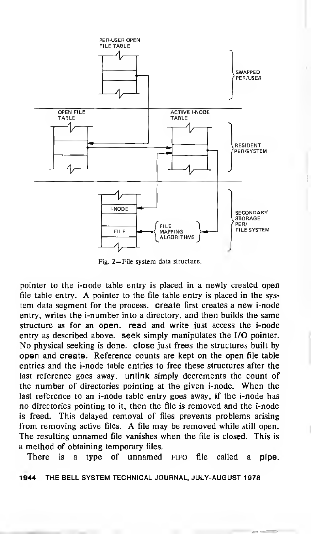

Fig. 2-File system data structure.

pointer to the i-node table entry is placed in a newly created open file table entry. A pointer to the file table entry is placed in the system data segment for the process, create first creates <sup>a</sup> new i-node entry, writes the i-number into a directory, and then builds the same structure as for an open, read and write just access the i-node entry as described above, seek simply manipulates the I/O pointer. No physical seeking is done, close just frees the structures built by open and create. Reference counts are kept on the open file table entries and the i-node table entries to free these structures after the last reference goes away, unlink simply decrements the count of the number of directories pointing at the given i-node. When the last reference to an i-node table entry goes away, if the i-node has no directories pointing to it, then the file is removed and the i-node is freed. This delayed removal of files prevents problems arising from removing active files. A file may be removed while still open. The resulting unnamed file vanishes when the file is closed. This is a method of obtaining temporary files.

There is <sup>a</sup> type of unnamed FIFO file called <sup>a</sup> pipe.

<sup>1</sup> 944 THE BELL SYSTEM TECHNICAL JOURNAL, JULY-AUGUST <sup>1</sup>978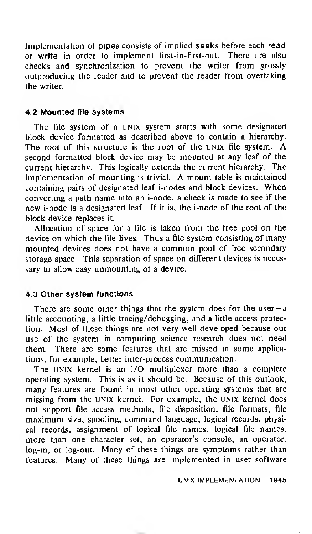Implementation of pipes consists of implied seeks before each read or write in order to implement first-in-first-out. There are also checks and synchronization to prevent the writer from grossly outproducing the reader and to prevent the reader from overtaking the writer.

## 4.2 Mounted file systems

The file system of <sup>a</sup> UNIX system starts with some designated block device formatted as described above to contain a hierarchy. The root of this structure is the root of the UNIX file system. A second formatted block device may be mounted at any leaf of the current hierarchy. This logically extends the current hierarchy. The implementation of mounting is trivial. A mount table is maintained containing pairs of designated leaf i-nodes and block devices. When converting <sup>a</sup> path name into an i-node, <sup>a</sup> check is made to see if the new i-node is a designated leaf. If it is, the i-node of the root of the block device replaces it.

Allocation of space for a file is taken from the free pool on the device on which the file lives. Thus <sup>a</sup> file system consisting of many mounted devices does not have <sup>a</sup> common pool of free secondary storage space. This separation of space on different devices is necessary to allow easy unmounting of a device.

# 4.3 Other system functions

There are some other things that the system does for the user- $a$ little accounting, a little tracing/debugging, and a little access protection. Most of these things are not very well developed because our use of the system in computing science research does not need them. There are some features that are missed in some applications, for example, better inter-process communication.

The UNIX kernel is an I/O multiplexer more than <sup>a</sup> complete operating system. This is as it should be. Because of this outlook, many features are found in most other operating systems that are missing from the UNIX kernel. For example, the UNIX kernel does not support file access methods, file disposition, file formats, file maximum size, spooling, command language, logical records, physical records, assignment of logical file names, logical file names, more than one character set, an operator's console, an operator, log-in, or log-out. Many of these things are symptoms rather than features. Many of these things are implemented in user software